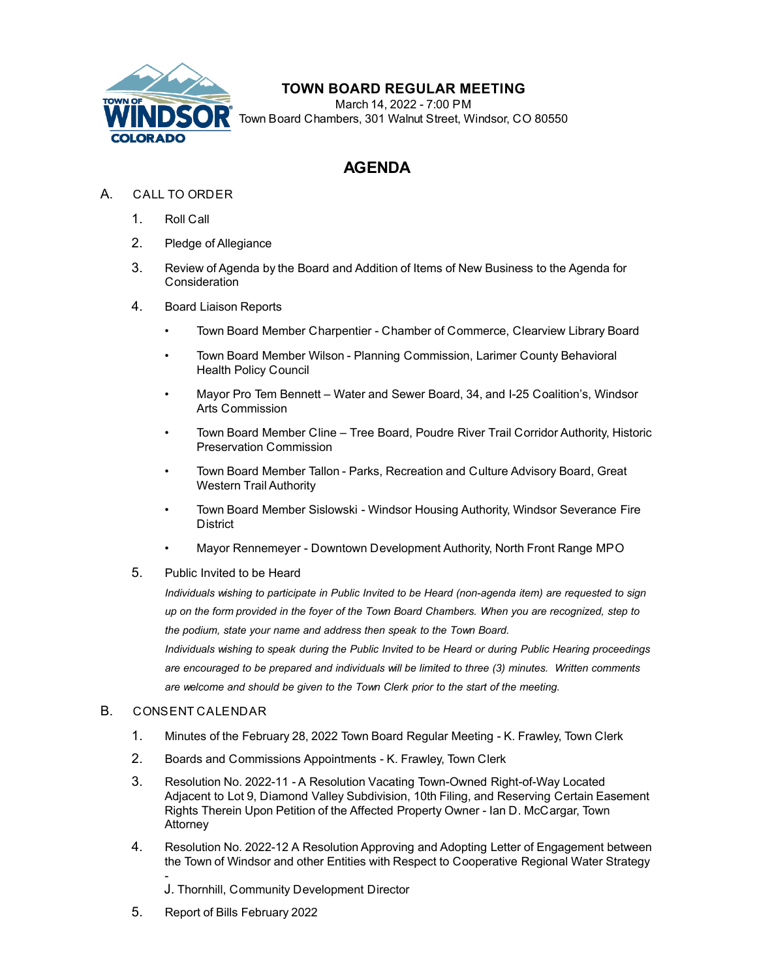

# **TOWN BOARD REGULAR MEETING**

March 14, 2022 - 7:00 PM Town Board Chambers, 301 Walnut Street, Windsor, CO 80550

# **AGENDA**

## A. CALL TO ORDER

- 1. Roll Call
- 2. Pledge of Allegiance
- 3. Review of Agenda by the Board and Addition of Items of New Business to the Agenda for **Consideration**
- 4. Board Liaison Reports
	- Town Board Member Charpentier Chamber of Commerce, Clearview Library Board
	- Town Board Member Wilson Planning Commission, Larimer County Behavioral Health Policy Council
	- Mayor Pro Tem Bennett Water and Sewer Board, 34, and I-25 Coalition's, Windsor Arts Commission
	- Town Board Member Cline Tree Board, Poudre River Trail Corridor Authority, Historic Preservation Commission
	- Town Board Member Tallon Parks, Recreation and Culture Advisory Board, Great Western Trail Authority
	- Town Board Member Sislowski Windsor Housing Authority, Windsor Severance Fire **District**
	- Mayor Rennemeyer Downtown Development Authority, North Front Range MPO
- 5. Public Invited to be Heard

*Individuals wishing to participate in Public Invited to be Heard (non-agenda item) are requested to sign up on the form provided in the foyer of the Town Board Chambers. When you are recognized, step to the podium, state your name and address then speak to the Town Board.*

*Individuals wishing to speak during the Public Invited to be Heard or during Public Hearing proceedings are encouraged to be prepared and individuals will be limited to three (3) minutes. Written comments are welcome and should be given to the Town Clerk prior to the start of the meeting.*

### B. CONSENT CALENDAR

- 1. [Minutes of the February 28, 2022 Town Board Regular Meeting K. Frawley, Town Clerk](file:///C:/Windows/TEMP/CoverSheet.aspx?ItemID=1970&MeetingID=358)
- 2. [Boards and Commissions Appointments K. Frawley, Town Clerk](file:///C:/Windows/TEMP/CoverSheet.aspx?ItemID=1971&MeetingID=358)
- 3. Resolution No. 2022-11 A Resolution Vacating Town-Owned Right-of-Way Located [Adjacent to Lot 9, Diamond Valley Subdivision, 10th Filing, and Reserving Certain Easemen](file:///C:/Windows/TEMP/CoverSheet.aspx?ItemID=1960&MeetingID=358)t Rights Therein Upon Petition of the Affected Property Owner - Ian D. McCargar, Town Attorney
- 4. [Resolution No. 2022-12 A Resolution Approving and Adopting Letter of Engagement between](file:///C:/Windows/TEMP/CoverSheet.aspx?ItemID=1965&MeetingID=358) the Town of Windsor and other Entities with Respect to Cooperative Regional Water Strategy

- J. Thornhill, Community Development Director

5. [Report of Bills February 2022](file:///C:/Windows/TEMP/CoverSheet.aspx?ItemID=1972&MeetingID=358)